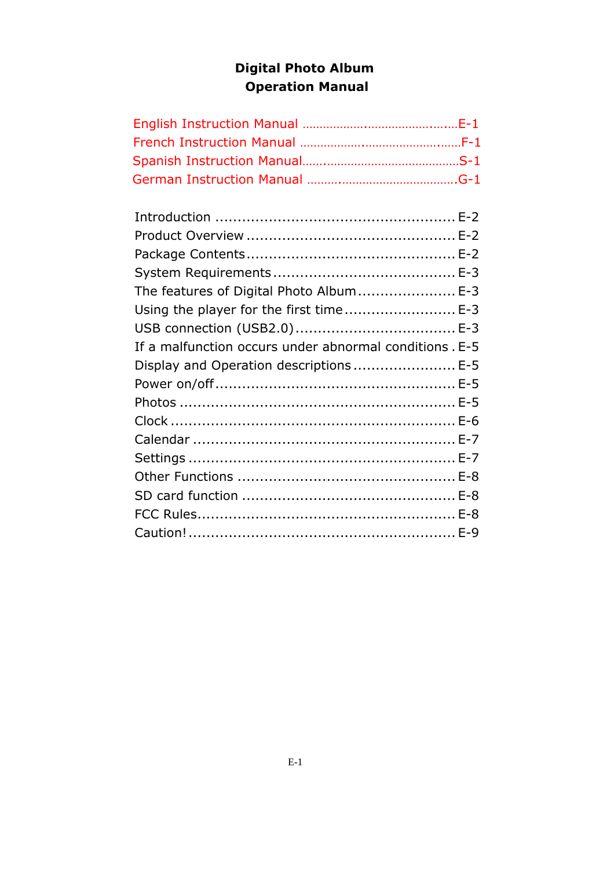# Digital Photo Album Operation Manual

| The features of Digital Photo Album E-3                 |  |
|---------------------------------------------------------|--|
| Using the player for the first time E-3                 |  |
|                                                         |  |
| If a malfunction occurs under abnormal conditions . E-5 |  |
| Display and Operation descriptions  E-5                 |  |
|                                                         |  |
|                                                         |  |
|                                                         |  |
|                                                         |  |
|                                                         |  |
|                                                         |  |
|                                                         |  |
|                                                         |  |
|                                                         |  |
|                                                         |  |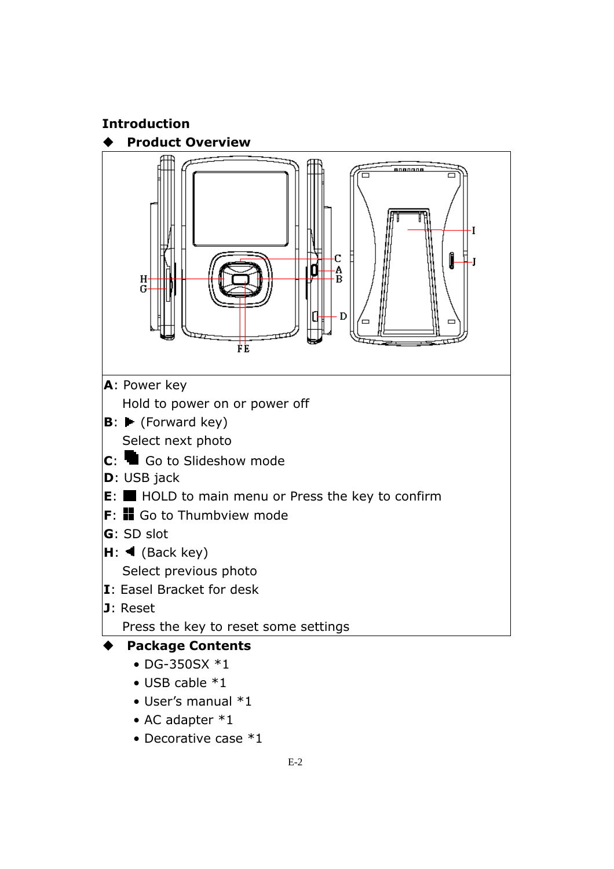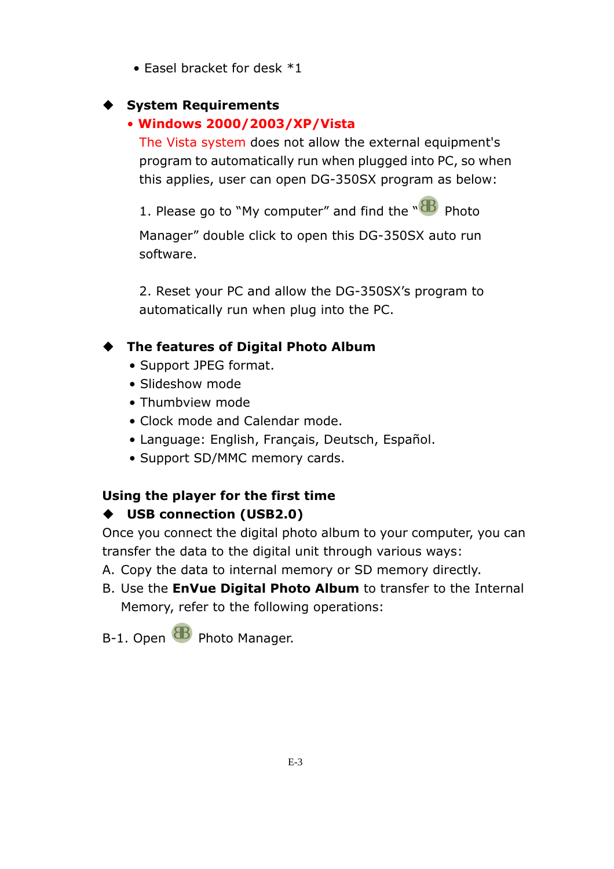• Easel bracket for desk \*1

### System Requirements

# • Windows 2000/2003/XP/Vista

The Vista system does not allow the external equipment's program to automatically run when plugged into PC, so when this applies, user can open DG-350SX program as below:

1. Please go to "My computer" and find the " $\mathbf{\mathbf{\mathbb{B}}}$  Photo

Manager" double click to open this DG-350SX auto run software.

2. Reset your PC and allow the DG-350SX's program to automatically run when plug into the PC.

# The features of Digital Photo Album

- Support JPEG format.
- Slideshow mode
- Thumbview mode
- Clock mode and Calendar mode.
- Language: English, Français, Deutsch, Español.
- Support SD/MMC memory cards.

# Using the player for the first time

# USB connection (USB2.0)

Once you connect the digital photo album to your computer, you can transfer the data to the digital unit through various ways:

- A. Copy the data to internal memory or SD memory directly.
- B. Use the **EnVue Digital Photo Album** to transfer to the Internal Memory, refer to the following operations:

B-1. Open **B** Photo Manager.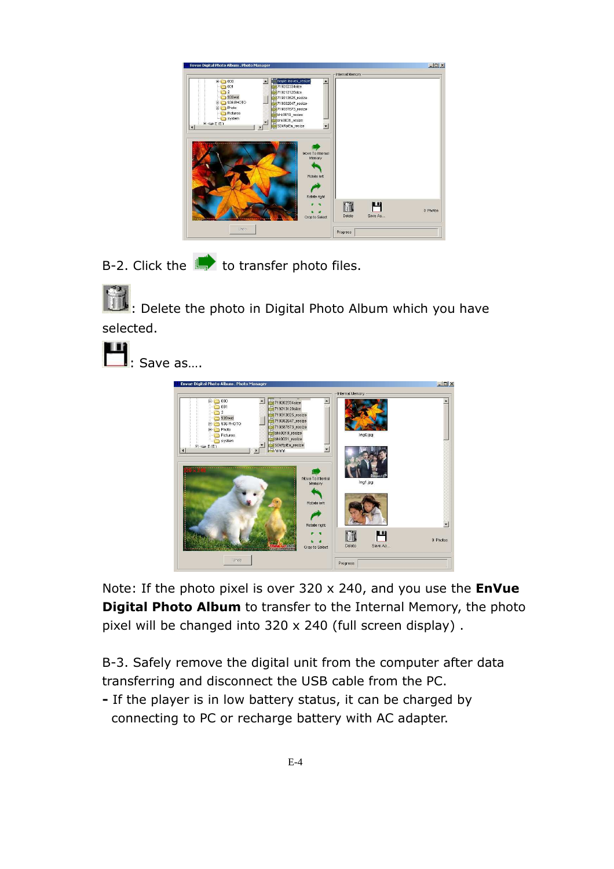|                                                                                                                 |                                                                                                                                                                                                                                       | Internal Memory - |                                 |
|-----------------------------------------------------------------------------------------------------------------|---------------------------------------------------------------------------------------------------------------------------------------------------------------------------------------------------------------------------------------|-------------------|---------------------------------|
| 000<br><b>FIA</b><br>001<br>2<br>935wd<br>936 PHOTO<br>m<br>Photo<br>B-P<br>Pictures<br>system<br>$H \leq P(E)$ | maple leaves_resize<br>圖<br>719202334size<br>719213128size<br>719313625_resize<br>719382647 resize<br>719387673_resize<br>bhk0019_resize<br>bhk0031_resize<br>SDkRplEa_resize<br>$\vert$<br>Move To Internal<br>Memory<br>Rotate left |                   |                                 |
|                                                                                                                 | Rotate right<br>Crop to Select                                                                                                                                                                                                        | Delete            | <b>M</b><br>0 Photos<br>Save As |

B-2. Click the  $\blacksquare$  to transfer photo files.

: Delete the photo in Digital Photo Album which you have selected.

: Save as….



Note: If the photo pixel is over  $320 \times 240$ , and you use the **EnVue** Digital Photo Album to transfer to the Internal Memory, the photo pixel will be changed into 320 x 240 (full screen display) .

B-3. Safely remove the digital unit from the computer after data transferring and disconnect the USB cable from the PC.

- If the player is in low battery status, it can be charged by connecting to PC or recharge battery with AC adapter.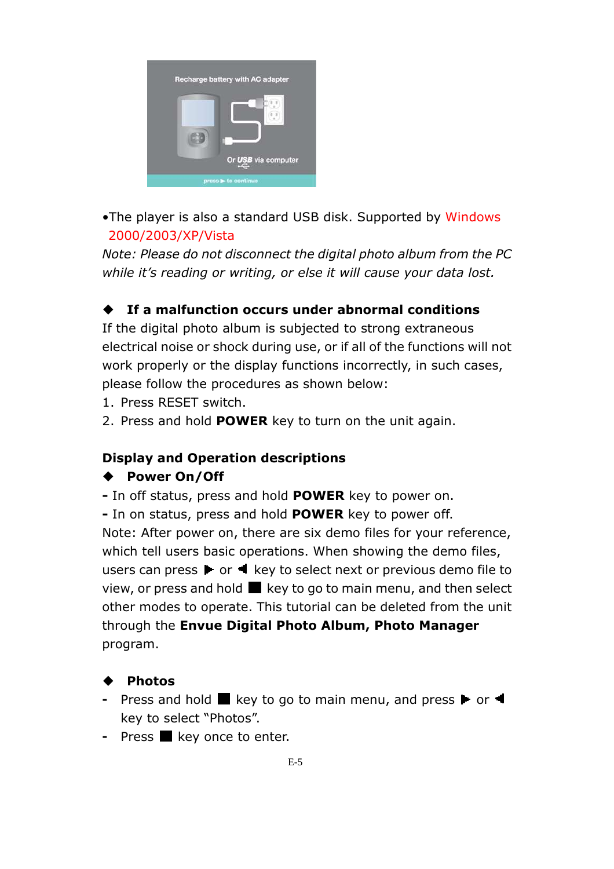

•The player is also a standard USB disk. Supported by Windows 2000/2003/XP/Vista

Note: Please do not disconnect the digital photo album from the PC while it's reading or writing, or else it will cause your data lost.

# If a malfunction occurs under abnormal conditions

If the digital photo album is subjected to strong extraneous electrical noise or shock during use, or if all of the functions will not work properly or the display functions incorrectly, in such cases, please follow the procedures as shown below:

- 1. Press RESET switch.
- 2. Press and hold POWER key to turn on the unit again.

#### Display and Operation descriptions

#### ◆ Power On/Off

- In off status, press and hold **POWER** key to power on.

- In on status, press and hold **POWER** key to power off. Note: After power on, there are six demo files for your reference, which tell users basic operations. When showing the demo files, users can press  $\blacktriangleright$  or  $\blacktriangleleft$  key to select next or previous demo file to view, or press and hold  $\blacksquare$  key to go to main menu, and then select other modes to operate. This tutorial can be deleted from the unit through the Envue Digital Photo Album, Photo Manager program.

#### Photos

- Press and hold  $\blacksquare$  key to go to main menu, and press  $\blacktriangleright$  or  $\blacktriangleleft$ key to select "Photos".
- Press  $\blacksquare$  key once to enter.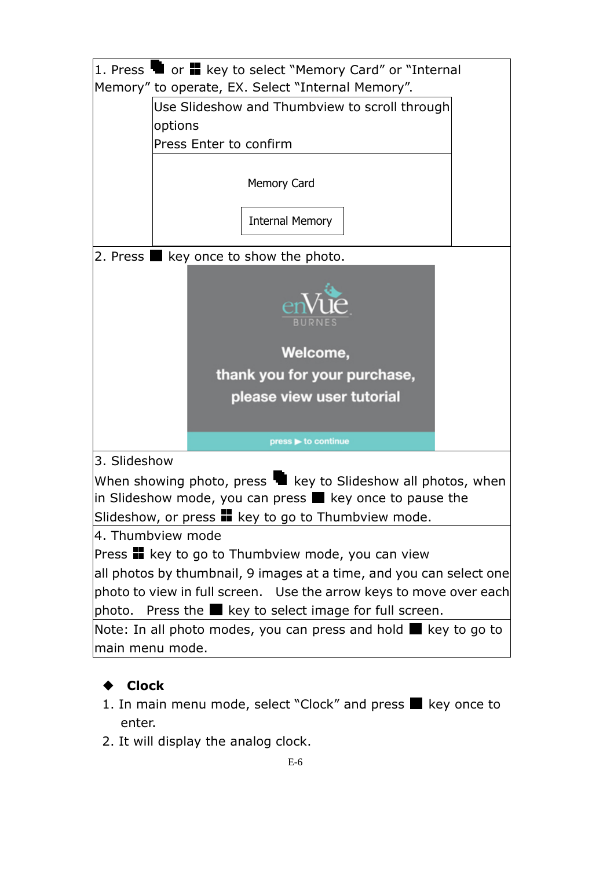|                                                                            | 1. Press $\blacksquare$ or $\blacksquare$ key to select "Memory Card" or "Internal<br>Memory" to operate, EX. Select "Internal Memory". |  |  |  |
|----------------------------------------------------------------------------|-----------------------------------------------------------------------------------------------------------------------------------------|--|--|--|
|                                                                            | Use Slideshow and Thumbview to scroll through                                                                                           |  |  |  |
|                                                                            | options                                                                                                                                 |  |  |  |
|                                                                            | Press Enter to confirm                                                                                                                  |  |  |  |
|                                                                            |                                                                                                                                         |  |  |  |
|                                                                            | <b>Memory Card</b>                                                                                                                      |  |  |  |
|                                                                            |                                                                                                                                         |  |  |  |
|                                                                            | <b>Internal Memory</b>                                                                                                                  |  |  |  |
| 2. Press $\blacksquare$ key once to show the photo.                        |                                                                                                                                         |  |  |  |
|                                                                            |                                                                                                                                         |  |  |  |
|                                                                            | Welcome,                                                                                                                                |  |  |  |
|                                                                            | thank you for your purchase,                                                                                                            |  |  |  |
|                                                                            | please view user tutorial                                                                                                               |  |  |  |
|                                                                            |                                                                                                                                         |  |  |  |
|                                                                            | press b to continue                                                                                                                     |  |  |  |
| 3. Slideshow                                                               |                                                                                                                                         |  |  |  |
| When showing photo, press $\blacksquare$ key to Slideshow all photos, when |                                                                                                                                         |  |  |  |
| in Slideshow mode, you can press $\blacksquare$ key once to pause the      |                                                                                                                                         |  |  |  |
| Slideshow, or press <b>II</b> key to go to Thumbview mode.                 |                                                                                                                                         |  |  |  |
| 4. Thumbview mode                                                          |                                                                                                                                         |  |  |  |
| Press <b>II</b> key to go to Thumbview mode, you can view                  |                                                                                                                                         |  |  |  |
| all photos by thumbnail, 9 images at a time, and you can select one        |                                                                                                                                         |  |  |  |
| photo to view in full screen. Use the arrow keys to move over each         |                                                                                                                                         |  |  |  |
| Press the ■ key to select image for full screen.<br>photo.                 |                                                                                                                                         |  |  |  |
|                                                                            | Note: In all photo modes, you can press and hold $\blacksquare$ key to go to                                                            |  |  |  |
| main menu mode.                                                            |                                                                                                                                         |  |  |  |

# ◆ Clock

- 1. In main menu mode, select "Clock" and press  $\blacksquare$  key once to enter.
- 2. It will display the analog clock.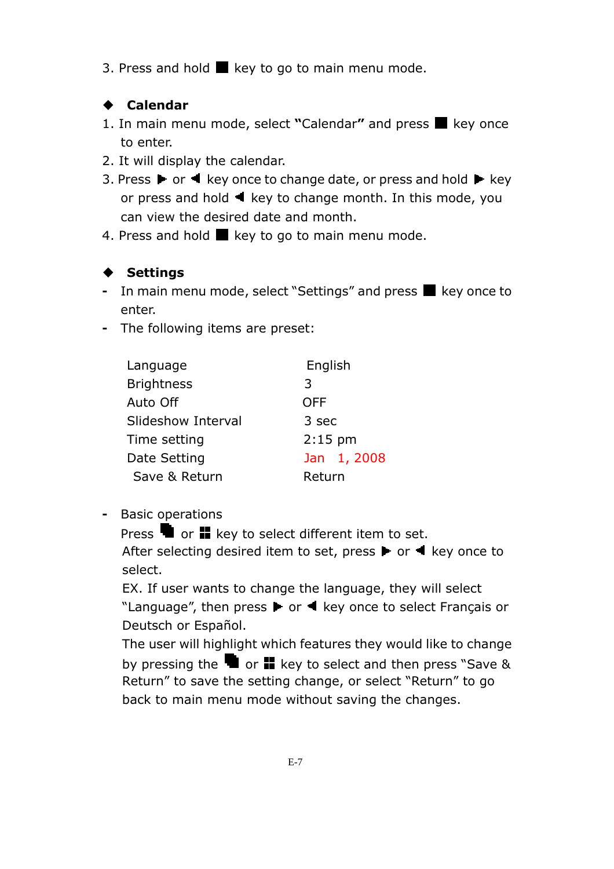3. Press and hold  $\blacksquare$  key to go to main menu mode.

# Calendar

- 1. In main menu mode, select "Calendar" and press  $\blacksquare$  key once to enter.
- 2. It will display the calendar.
- 3. Press  $\blacktriangleright$  or  $\blacktriangleleft$  key once to change date, or press and hold  $\blacktriangleright$  key or press and hold  $\blacktriangleleft$  key to change month. In this mode, you can view the desired date and month.
- 4. Press and hold  $\blacksquare$  key to go to main menu mode.

# $\blacklozenge$  Settings

- In main menu mode, select "Settings" and press  $\blacksquare$  key once to enter.
- The following items are preset:

| Language           | English     |  |  |
|--------------------|-------------|--|--|
| <b>Brightness</b>  | 3           |  |  |
| Auto Off           | <b>OFF</b>  |  |  |
| Slideshow Interval | 3 sec       |  |  |
| Time setting       | $2:15$ pm   |  |  |
| Date Setting       | Jan 1, 2008 |  |  |
| Save & Return      | Return      |  |  |

- Basic operations

Press  $\blacksquare$  or  $\blacksquare$  key to select different item to set. After selecting desired item to set, press  $\blacktriangleright$  or  $\blacktriangleleft$  key once to select.

EX. If user wants to change the language, they will select "Language", then press  $\blacktriangleright$  or  $\blacktriangleleft$  key once to select Français or Deutsch or Español.

The user will highlight which features they would like to change by pressing the  $\blacksquare$  or  $\blacksquare$  key to select and then press "Save & Return" to save the setting change, or select "Return" to go back to main menu mode without saving the changes.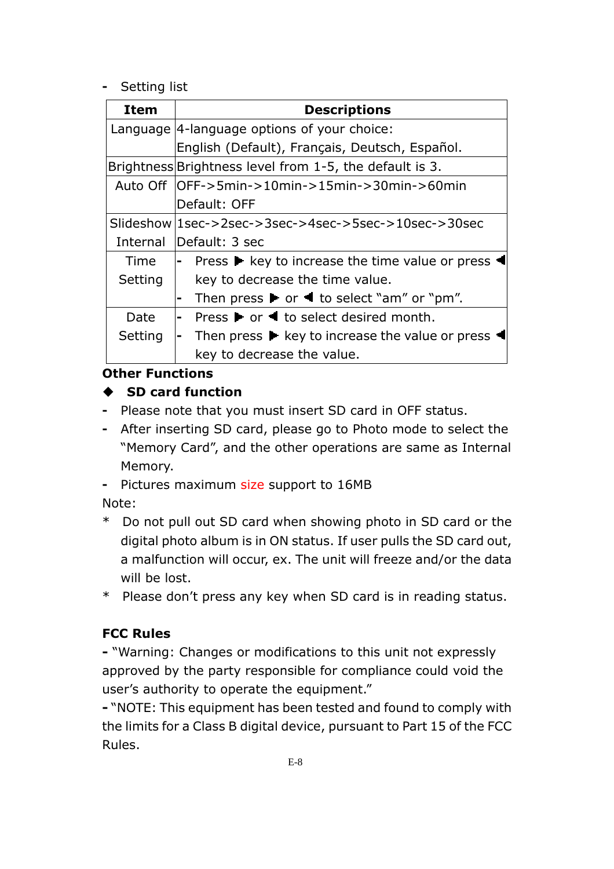#### - Setting list

| Item     | <b>Descriptions</b>                                                                                |  |
|----------|----------------------------------------------------------------------------------------------------|--|
|          | Language  4-language options of your choice:                                                       |  |
|          | English (Default), Français, Deutsch, Español.                                                     |  |
|          | Brightness Brightness level from 1-5, the default is 3.                                            |  |
|          | Auto Off   OFF->5min->10min->15min->30min->60min                                                   |  |
|          | Default: OFF                                                                                       |  |
|          | Slideshow   1sec->2sec->3sec->4sec->5sec->10sec->30sec                                             |  |
| Internal | Default: 3 sec                                                                                     |  |
| Time     | Press $\blacktriangleright$ key to increase the time value or press<br>$\blacksquare$              |  |
| Setting  | key to decrease the time value.                                                                    |  |
|          | Then press $\blacktriangleright$ or $\blacktriangleleft$ to select "am" or "pm".<br>$\blacksquare$ |  |
| Date     | Press $\blacktriangleright$ or $\blacktriangleleft$ to select desired month.<br>$\blacksquare$     |  |
| Setting  | Then press $\blacktriangleright$ key to increase the value or press<br>H                           |  |
|          | key to decrease the value.                                                                         |  |

#### Other Functions

# SD card function

- Please note that you must insert SD card in OFF status.
- After inserting SD card, please go to Photo mode to select the "Memory Card", and the other operations are same as Internal Memory.
- Pictures maximum size support to 16MB

Note:

- \* Do not pull out SD card when showing photo in SD card or the digital photo album is in ON status. If user pulls the SD card out, a malfunction will occur, ex. The unit will freeze and/or the data will be lost.
- \* Please don't press any key when SD card is in reading status.

# FCC Rules

- "Warning: Changes or modifications to this unit not expressly approved by the party responsible for compliance could void the user's authority to operate the equipment."

- "NOTE: This equipment has been tested and found to comply with the limits for a Class B digital device, pursuant to Part 15 of the FCC Rules.